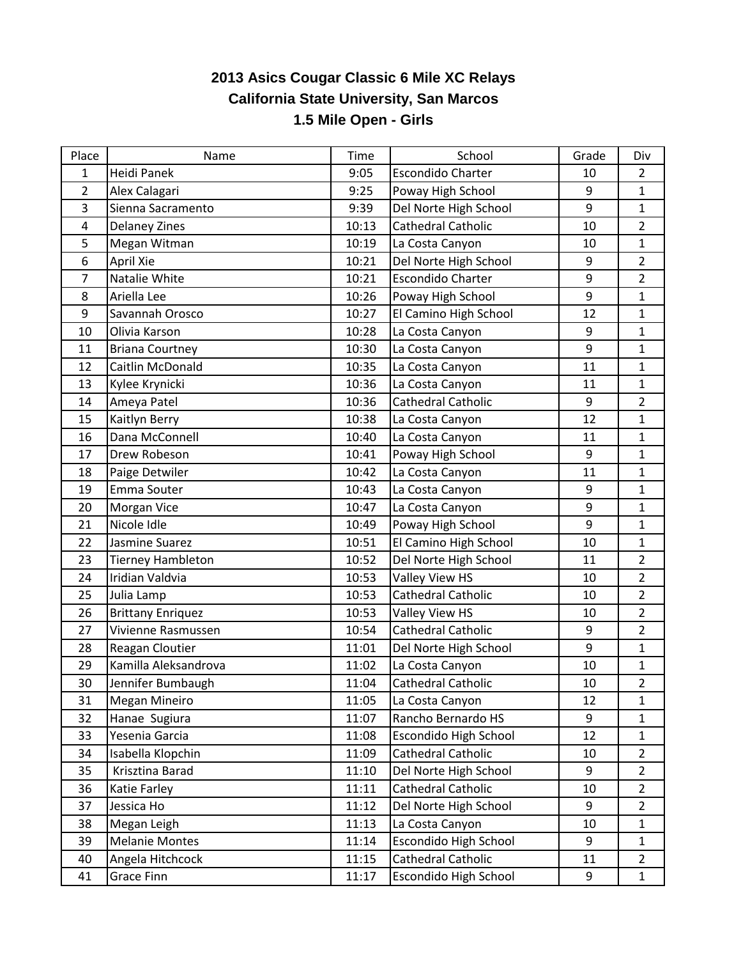## **2013 Asics Cougar Classic 6 Mile XC Relays California State University, San Marcos 1.5 Mile Open - Girls**

| Place | Name                     | Time  | School                       | Grade | Div            |
|-------|--------------------------|-------|------------------------------|-------|----------------|
| 1     | <b>Heidi Panek</b>       | 9:05  | <b>Escondido Charter</b>     | 10    | $\overline{2}$ |
| 2     | Alex Calagari            | 9:25  | Poway High School            | 9     | $\mathbf{1}$   |
| 3     | Sienna Sacramento        | 9:39  | Del Norte High School        | 9     | $\mathbf{1}$   |
| 4     | <b>Delaney Zines</b>     | 10:13 | Cathedral Catholic           | 10    | $\overline{2}$ |
| 5     | Megan Witman             | 10:19 | La Costa Canyon              | 10    | $\mathbf{1}$   |
| 6     | April Xie                | 10:21 | Del Norte High School        | $9\,$ | $\overline{2}$ |
| 7     | Natalie White            | 10:21 | <b>Escondido Charter</b>     | $9\,$ | $\overline{2}$ |
| 8     | Ariella Lee              | 10:26 | Poway High School            | 9     | $\mathbf{1}$   |
| 9     | Savannah Orosco          | 10:27 | El Camino High School        | 12    | $\mathbf{1}$   |
| 10    | Olivia Karson            | 10:28 | La Costa Canyon              | 9     | $\mathbf 1$    |
| 11    | <b>Briana Courtney</b>   | 10:30 | La Costa Canyon              | 9     | $\mathbf{1}$   |
| 12    | Caitlin McDonald         | 10:35 | La Costa Canyon              | 11    | $\mathbf{1}$   |
| 13    | Kylee Krynicki           | 10:36 | La Costa Canyon              | 11    | $\mathbf{1}$   |
| 14    | Ameya Patel              | 10:36 | Cathedral Catholic           | $9\,$ | $\overline{2}$ |
| 15    | Kaitlyn Berry            | 10:38 | La Costa Canyon              | 12    | $\mathbf{1}$   |
| 16    | Dana McConnell           | 10:40 | La Costa Canyon              | 11    | $\mathbf{1}$   |
| 17    | Drew Robeson             | 10:41 | Poway High School            | $9\,$ | $\mathbf{1}$   |
| 18    | Paige Detwiler           | 10:42 | La Costa Canyon              | 11    | $\mathbf{1}$   |
| 19    | Emma Souter              | 10:43 | La Costa Canyon              | 9     | 1              |
| 20    | Morgan Vice              | 10:47 | La Costa Canyon              | 9     | $\mathbf{1}$   |
| 21    | Nicole Idle              | 10:49 | Poway High School            | 9     | $\mathbf{1}$   |
| 22    | Jasmine Suarez           | 10:51 | El Camino High School        | 10    | $\mathbf 1$    |
| 23    | <b>Tierney Hambleton</b> | 10:52 | Del Norte High School        | 11    | $\overline{2}$ |
| 24    | Iridian Valdvia          | 10:53 | Valley View HS               | 10    | $\overline{2}$ |
| 25    | Julia Lamp               | 10:53 | Cathedral Catholic           | 10    | $\overline{2}$ |
| 26    | <b>Brittany Enriquez</b> | 10:53 | Valley View HS               | 10    | $\overline{2}$ |
| 27    | Vivienne Rasmussen       | 10:54 | Cathedral Catholic           | $9\,$ | $\overline{2}$ |
| 28    | Reagan Cloutier          | 11:01 | Del Norte High School        | 9     | 1              |
| 29    | Kamilla Aleksandrova     | 11:02 | La Costa Canyon              | 10    | 1              |
| 30    | Jennifer Bumbaugh        | 11:04 | <b>Cathedral Catholic</b>    | 10    | $\overline{2}$ |
| 31    | Megan Mineiro            | 11:05 | La Costa Canyon              | 12    | $\mathbf{1}$   |
| 32    | Hanae Sugiura            | 11:07 | Rancho Bernardo HS           | 9     | $\mathbf{1}$   |
| 33    | Yesenia Garcia           | 11:08 | Escondido High School        | 12    | $\mathbf{1}$   |
| 34    | Isabella Klopchin        | 11:09 | Cathedral Catholic           | 10    | $\overline{2}$ |
| 35    | Krisztina Barad          | 11:10 | Del Norte High School        | 9     | $\overline{2}$ |
| 36    | Katie Farley             | 11:11 | Cathedral Catholic           | 10    | $\overline{2}$ |
| 37    | Jessica Ho               | 11:12 | Del Norte High School        | 9     | $\overline{2}$ |
| 38    | Megan Leigh              | 11:13 | La Costa Canyon              | 10    | $\mathbf{1}$   |
| 39    | <b>Melanie Montes</b>    | 11:14 | <b>Escondido High School</b> | 9     | $\mathbf{1}$   |
| 40    | Angela Hitchcock         | 11:15 | Cathedral Catholic           | 11    | $\overline{2}$ |
| 41    | <b>Grace Finn</b>        | 11:17 | <b>Escondido High School</b> | 9     | $\mathbf{1}$   |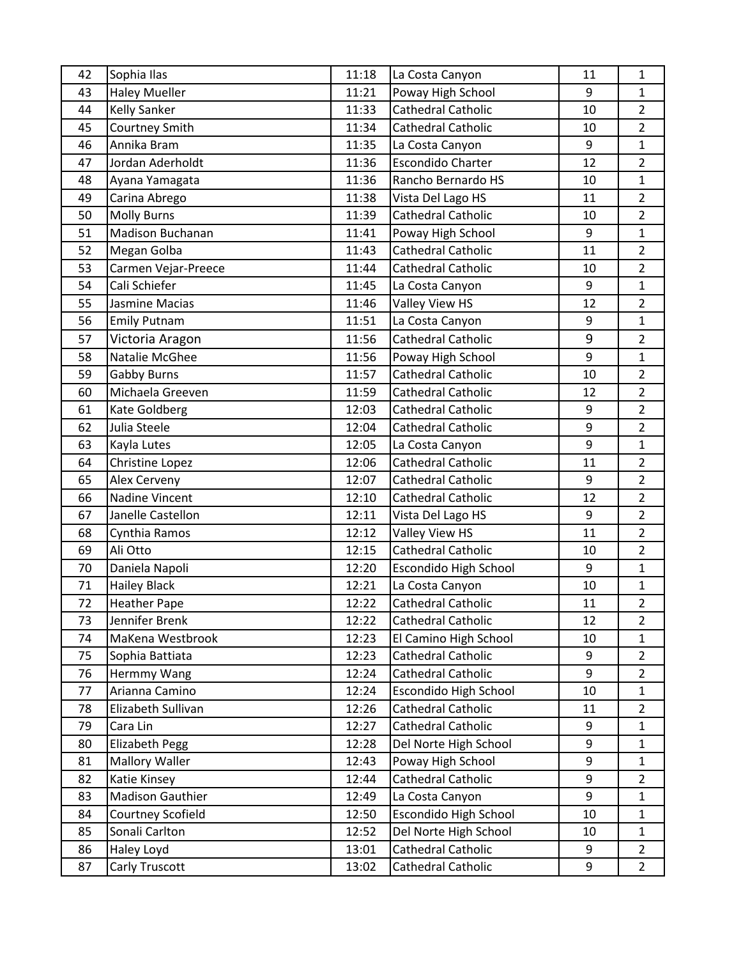| 42 | Sophia Ilas             | 11:18 | La Costa Canyon              | 11 | $\mathbf{1}$   |
|----|-------------------------|-------|------------------------------|----|----------------|
| 43 | <b>Haley Mueller</b>    | 11:21 | Poway High School            | 9  | $\mathbf{1}$   |
| 44 | <b>Kelly Sanker</b>     | 11:33 | Cathedral Catholic           | 10 | $\overline{2}$ |
| 45 | Courtney Smith          | 11:34 | Cathedral Catholic           | 10 | $\overline{2}$ |
| 46 | Annika Bram             | 11:35 | La Costa Canyon              | 9  | $\mathbf{1}$   |
| 47 | Jordan Aderholdt        | 11:36 | <b>Escondido Charter</b>     | 12 | $\overline{2}$ |
| 48 | Ayana Yamagata          | 11:36 | Rancho Bernardo HS           | 10 | $\mathbf{1}$   |
| 49 | Carina Abrego           | 11:38 | Vista Del Lago HS            | 11 | $\overline{2}$ |
| 50 | <b>Molly Burns</b>      | 11:39 | <b>Cathedral Catholic</b>    | 10 | $\overline{2}$ |
| 51 | <b>Madison Buchanan</b> | 11:41 | Poway High School            | 9  | $\mathbf{1}$   |
| 52 | Megan Golba             | 11:43 | Cathedral Catholic           | 11 | $\overline{2}$ |
| 53 | Carmen Vejar-Preece     | 11:44 | <b>Cathedral Catholic</b>    | 10 | $\overline{2}$ |
| 54 | Cali Schiefer           | 11:45 | La Costa Canyon              | 9  | $\mathbf{1}$   |
| 55 | Jasmine Macias          | 11:46 | Valley View HS               | 12 | $\overline{2}$ |
| 56 | <b>Emily Putnam</b>     | 11:51 | La Costa Canyon              | 9  | $\mathbf{1}$   |
| 57 | Victoria Aragon         | 11:56 | Cathedral Catholic           | 9  | $\overline{2}$ |
| 58 | Natalie McGhee          | 11:56 | Poway High School            | 9  | $\mathbf{1}$   |
| 59 | <b>Gabby Burns</b>      | 11:57 | Cathedral Catholic           | 10 | $\overline{2}$ |
| 60 | Michaela Greeven        | 11:59 | <b>Cathedral Catholic</b>    | 12 | $\overline{2}$ |
| 61 | Kate Goldberg           | 12:03 | <b>Cathedral Catholic</b>    | 9  | $\overline{2}$ |
| 62 | Julia Steele            | 12:04 | <b>Cathedral Catholic</b>    | 9  | $\overline{2}$ |
| 63 | Kayla Lutes             | 12:05 | La Costa Canyon              | 9  | $\mathbf{1}$   |
| 64 | Christine Lopez         | 12:06 | Cathedral Catholic           | 11 | $\overline{2}$ |
| 65 | Alex Cerveny            | 12:07 | Cathedral Catholic           | 9  | $\overline{2}$ |
| 66 | Nadine Vincent          | 12:10 | Cathedral Catholic           | 12 | $\overline{2}$ |
| 67 | Janelle Castellon       | 12:11 | Vista Del Lago HS            | 9  | $\overline{2}$ |
| 68 | Cynthia Ramos           | 12:12 | Valley View HS               | 11 | $\overline{2}$ |
| 69 | Ali Otto                | 12:15 | Cathedral Catholic           | 10 | $\overline{2}$ |
| 70 | Daniela Napoli          | 12:20 | Escondido High School        | 9  | $\mathbf{1}$   |
| 71 | <b>Hailey Black</b>     | 12:21 | La Costa Canyon              | 10 | $\mathbf{1}$   |
| 72 | <b>Heather Pape</b>     | 12:22 | Cathedral Catholic           | 11 | $\overline{2}$ |
| 73 | Jennifer Brenk          | 12:22 | <b>Cathedral Catholic</b>    | 12 | $\overline{2}$ |
| 74 | MaKena Westbrook        | 12:23 | El Camino High School        | 10 | $\mathbf{1}$   |
| 75 | Sophia Battiata         | 12:23 | Cathedral Catholic           | 9  | $\overline{2}$ |
| 76 | Hermmy Wang             | 12:24 | Cathedral Catholic           | 9  | $\overline{2}$ |
| 77 | Arianna Camino          | 12:24 | <b>Escondido High School</b> | 10 | $\mathbf{1}$   |
| 78 | Elizabeth Sullivan      | 12:26 | Cathedral Catholic           | 11 | $\overline{2}$ |
| 79 | Cara Lin                | 12:27 | Cathedral Catholic           | 9  | $\mathbf{1}$   |
| 80 | <b>Elizabeth Pegg</b>   | 12:28 | Del Norte High School        | 9  | $\mathbf{1}$   |
| 81 | <b>Mallory Waller</b>   | 12:43 | Poway High School            | 9  | $\mathbf{1}$   |
| 82 | Katie Kinsey            | 12:44 | Cathedral Catholic           | 9  | $\overline{2}$ |
| 83 | <b>Madison Gauthier</b> | 12:49 | La Costa Canyon              | 9  | $\mathbf{1}$   |
| 84 | Courtney Scofield       | 12:50 | Escondido High School        | 10 | $\mathbf{1}$   |
| 85 | Sonali Carlton          | 12:52 | Del Norte High School        | 10 | $\mathbf{1}$   |
| 86 | Haley Loyd              | 13:01 | Cathedral Catholic           | 9  | $\overline{2}$ |
| 87 | Carly Truscott          | 13:02 | Cathedral Catholic           | 9  | $\overline{2}$ |